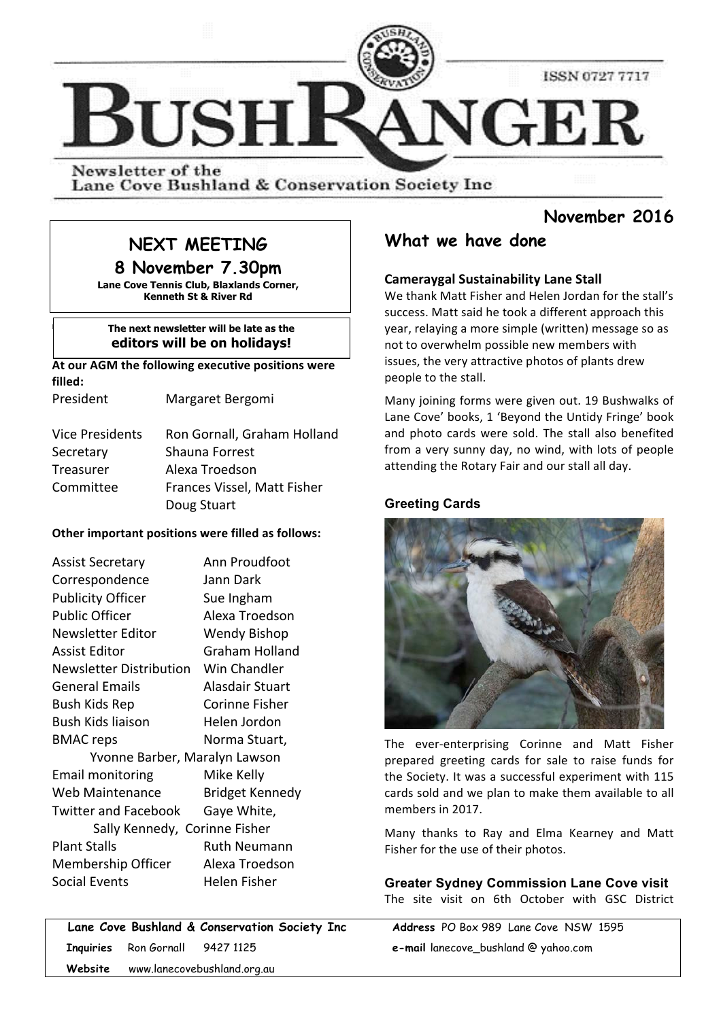

Newsletter of the Lane Cove Bushland & Conservation Society Inc

## **November 2016**

# **NEXT MEETING**

**8 November 7.30pm Lane Cove Tennis Club, Blaxlands Corner,** 

**Kenneth St & River Rd**

#### **The next newsletter will be late as the editors will be on holidays!**

At our AGM the following executive positions were filled:

 $\mathbf i$ 

President Margaret Bergomi

| <b>Vice Presidents</b> | Ron Gornall, Graham Holland |
|------------------------|-----------------------------|
| Secretary              | Shauna Forrest              |
| Treasurer              | Alexa Troedson              |
| Committee              | Frances Vissel, Matt Fisher |
|                        | Doug Stuart                 |

#### **Other important positions were filled as follows:**

| Assist Secretary              | Ann Proudfoot          |  |  |  |
|-------------------------------|------------------------|--|--|--|
| Correspondence                | Jann Dark              |  |  |  |
| <b>Publicity Officer</b>      | Sue Ingham             |  |  |  |
| <b>Public Officer</b>         | Alexa Troedson         |  |  |  |
| Newsletter Editor             | <b>Wendy Bishop</b>    |  |  |  |
| Assist Editor                 | Graham Holland         |  |  |  |
| Newsletter Distribution       | Win Chandler           |  |  |  |
| <b>General Emails</b>         | Alasdair Stuart        |  |  |  |
| Bush Kids Rep                 | Corinne Fisher         |  |  |  |
| <b>Bush Kids liaison</b>      | Helen Jordon           |  |  |  |
| <b>BMAC</b> reps              | Norma Stuart,          |  |  |  |
| Yvonne Barber, Maralyn Lawson |                        |  |  |  |
| <b>Email monitoring</b>       | Mike Kelly             |  |  |  |
| Web Maintenance               | <b>Bridget Kennedy</b> |  |  |  |
| <b>Twitter and Facebook</b>   | Gaye White,            |  |  |  |
| Sally Kennedy, Corinne Fisher |                        |  |  |  |
| <b>Plant Stalls</b>           | Ruth Neumann           |  |  |  |
| Membership Officer            | Alexa Troedson         |  |  |  |
| Social Events                 | Helen Fisher           |  |  |  |

 **Lane Cove Bushland & Conservation Society Inc Address** PO Box 989 Lane Cove NSW 1595  **Inquiries** Ron Gornall 9427 1125 **e-mail** lanecove\_bushland @ yahoo.com  **Website** www.lanecovebushland.org.au

# **What we have done**

### **Cameraygal Sustainability Lane Stall**

We thank Matt Fisher and Helen Jordan for the stall's success. Matt said he took a different approach this year, relaying a more simple (written) message so as not to overwhelm possible new members with issues, the very attractive photos of plants drew people to the stall.

Many joining forms were given out. 19 Bushwalks of Lane Cove' books, 1 'Beyond the Untidy Fringe' book and photo cards were sold. The stall also benefited from a very sunny day, no wind, with lots of people attending the Rotary Fair and our stall all day.

## **Greeting Cards**



The ever-enterprising Corinne and Matt Fisher prepared greeting cards for sale to raise funds for the Society. It was a successful experiment with 115 cards sold and we plan to make them available to all members in 2017.

Many thanks to Ray and Elma Kearney and Matt Fisher for the use of their photos.

**Greater Sydney Commission Lane Cove visit**  The site visit on 6th October with GSC District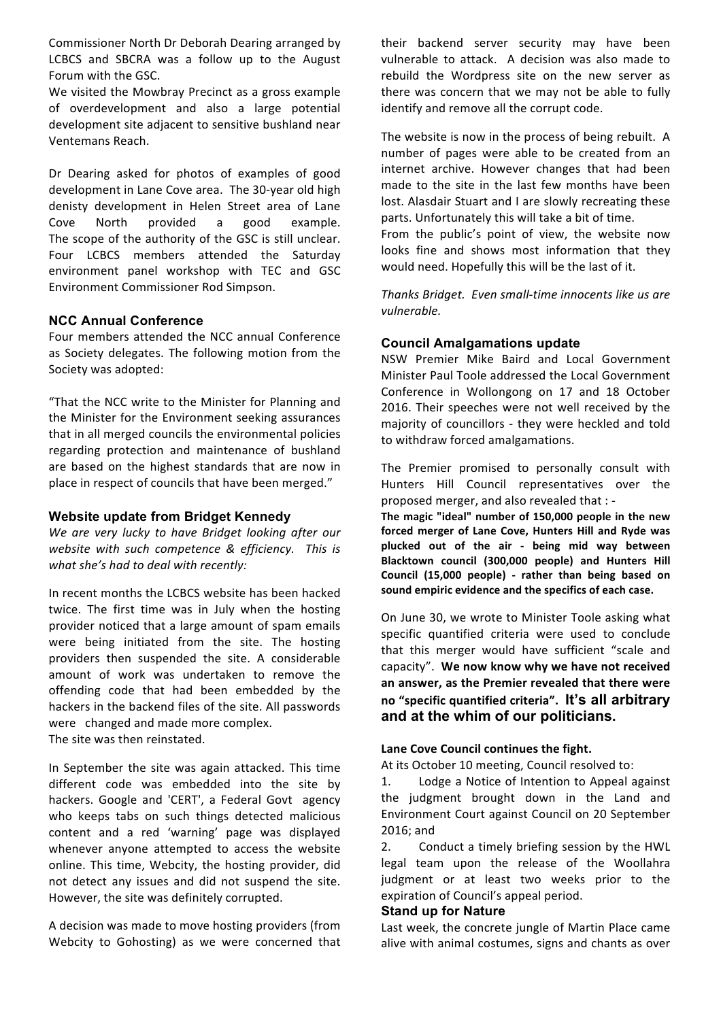Commissioner North Dr Deborah Dearing arranged by LCBCS and SBCRA was a follow up to the August Forum with the GSC.

We visited the Mowbray Precinct as a gross example of overdevelopment and also a large potential development site adjacent to sensitive bushland near Ventemans Reach. 

Dr Dearing asked for photos of examples of good development in Lane Cove area. The 30-year old high denisty development in Helen Street area of Lane Cove North provided a good example. The scope of the authority of the GSC is still unclear. Four LCBCS members attended the Saturday environment panel workshop with TEC and GSC Environment Commissioner Rod Simpson.

#### **NCC Annual Conference**

Four members attended the NCC annual Conference as Society delegates. The following motion from the Society was adopted:

"That the NCC write to the Minister for Planning and the Minister for the Environment seeking assurances that in all merged councils the environmental policies regarding protection and maintenance of bushland are based on the highest standards that are now in place in respect of councils that have been merged."

#### **Website update from Bridget Kennedy**

We are very lucky to have Bridget looking after our website with such competence & efficiency. This is what she's had to deal with recently:

In recent months the LCBCS website has been hacked twice. The first time was in July when the hosting provider noticed that a large amount of spam emails were being initiated from the site. The hosting providers then suspended the site. A considerable amount of work was undertaken to remove the offending code that had been embedded by the hackers in the backend files of the site. All passwords were changed and made more complex. The site was then reinstated.

In September the site was again attacked. This time different code was embedded into the site by hackers. Google and 'CERT', a Federal Govt agency who keeps tabs on such things detected malicious content and a red 'warning' page was displayed whenever anyone attempted to access the website online. This time, Webcity, the hosting provider, did not detect any issues and did not suspend the site. However, the site was definitely corrupted.

A decision was made to move hosting providers (from Webcity to Gohosting) as we were concerned that their backend server security may have been vulnerable to attack. A decision was also made to rebuild the Wordpress site on the new server as there was concern that we may not be able to fully identify and remove all the corrupt code.

The website is now in the process of being rebuilt. A number of pages were able to be created from an internet archive. However changes that had been made to the site in the last few months have been lost. Alasdair Stuart and I are slowly recreating these parts. Unfortunately this will take a bit of time.

From the public's point of view, the website now looks fine and shows most information that they would need. Hopefully this will be the last of it.

Thanks Bridget. Even small-time innocents like us are *vulnerable.*

## **Council Amalgamations update**

NSW Premier Mike Baird and Local Government Minister Paul Toole addressed the Local Government Conference in Wollongong on 17 and 18 October 2016. Their speeches were not well received by the maiority of councillors - they were heckled and told to withdraw forced amalgamations.

The Premier promised to personally consult with Hunters Hill Council representatives over the proposed merger, and also revealed that : -

The magic "ideal" number of 150,000 people in the new forced merger of Lane Cove, Hunters Hill and Ryde was **plucked out of the air - being mid way between Blacktown council (300,000 people) and Hunters Hill Council (15,000 people) - rather than being based on**  sound empiric evidence and the specifics of each case.

On June 30, we wrote to Minister Toole asking what specific quantified criteria were used to conclude that this merger would have sufficient "scale and capacity". We now know why we have not received an answer, as the Premier revealed that there were **no "specific quantified criteria". It's all arbitrary and at the whim of our politicians.**

#### Lane Cove Council continues the fight.

At its October 10 meeting, Council resolved to:

1. Lodge a Notice of Intention to Appeal against the judgment brought down in the Land and Environment Court against Council on 20 September  $2016$ ; and

2. Conduct a timely briefing session by the HWL legal team upon the release of the Woollahra judgment or at least two weeks prior to the expiration of Council's appeal period.

#### **Stand up for Nature**

Last week, the concrete jungle of Martin Place came alive with animal costumes, signs and chants as over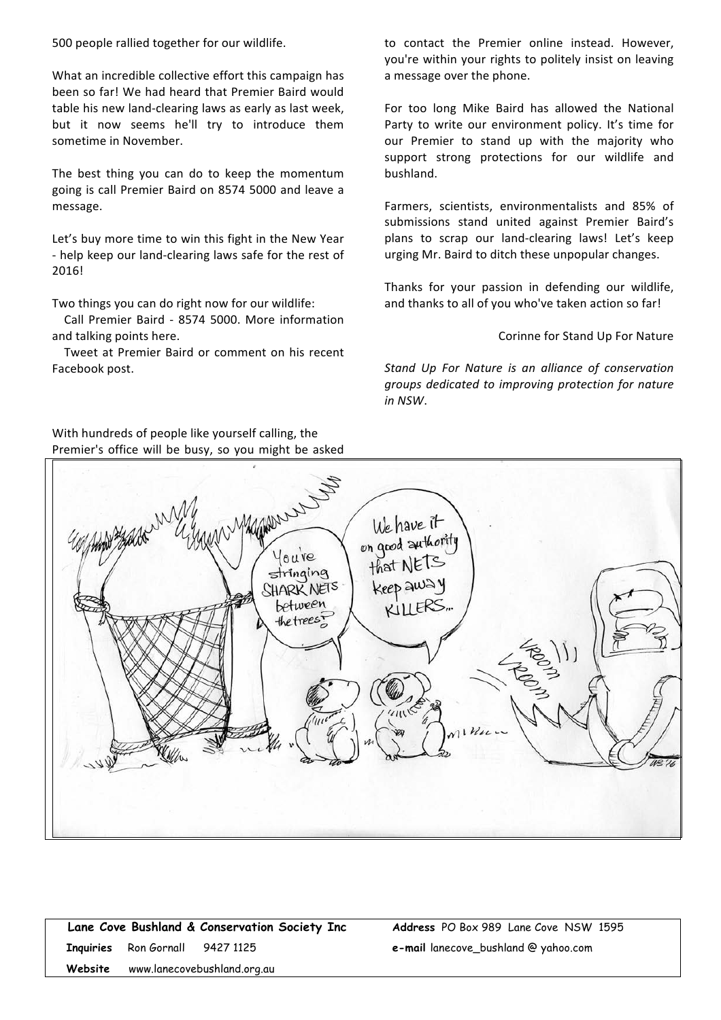500 people rallied together for our wildlife.

What an incredible collective effort this campaign has been so far! We had heard that Premier Baird would table his new land-clearing laws as early as last week, but it now seems he'll try to introduce them sometime in November.

The best thing you can do to keep the momentum going is call Premier Baird on 8574 5000 and leave a message.

Let's buy more time to win this fight in the New Year - help keep our land-clearing laws safe for the rest of 2016!

Two things you can do right now for our wildlife:

Call Premier Baird - 8574 5000. More information and talking points here.

Tweet at Premier Baird or comment on his recent Facebook post.

to contact the Premier online instead. However, you're within your rights to politely insist on leaving a message over the phone.

For too long Mike Baird has allowed the National Party to write our environment policy. It's time for our Premier to stand up with the majority who support strong protections for our wildlife and bushland.

Farmers, scientists, environmentalists and 85% of submissions stand united against Premier Baird's plans to scrap our land-clearing laws! Let's keep urging Mr. Baird to ditch these unpopular changes.

Thanks for your passion in defending our wildlife, and thanks to all of you who've taken action so far!

Corinne for Stand Up For Nature

Stand Up For Nature is an alliance of conservation *groups dedicated to improving protection for nature in NSW*.



|         |                                        | Lane Cove Bushland & Conservation Society Inc |  |
|---------|----------------------------------------|-----------------------------------------------|--|
|         | <b>Inquiries</b> Ron Gornall 9427 1125 |                                               |  |
| Website |                                        | www.lanecovebushland.org.au                   |  |

**Address** PO Box 989 Lane Cove NSW 1595 **e-mail** lanecove\_bushland @ yahoo.com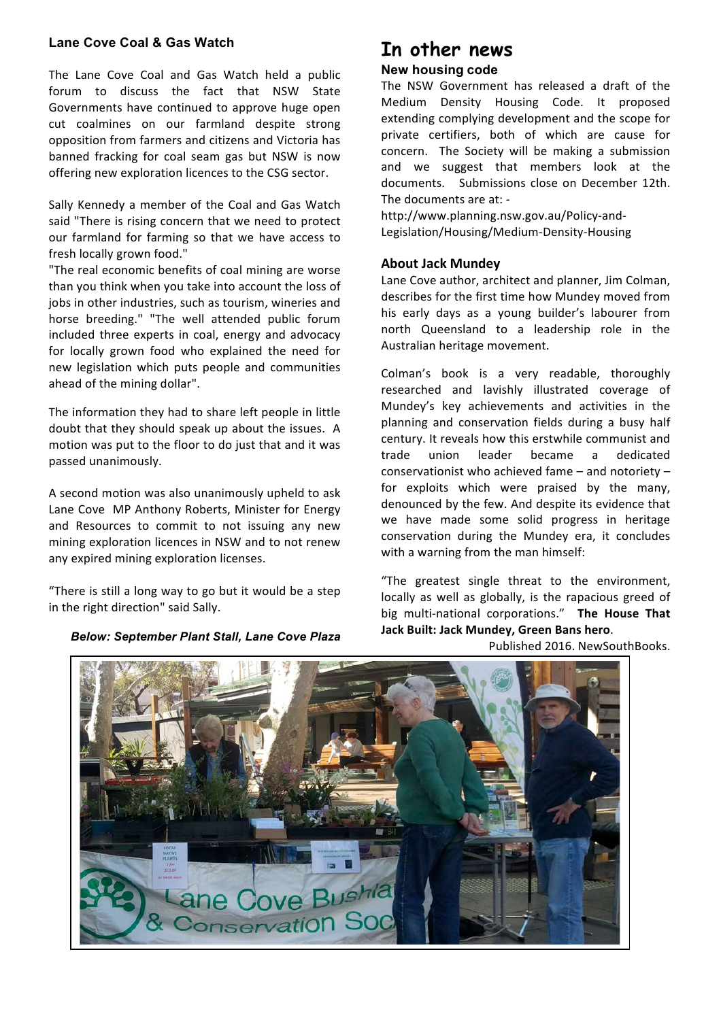#### **Lane Cove Coal & Gas Watch**

The Lane Cove Coal and Gas Watch held a public forum to discuss the fact that NSW State Governments have continued to approve huge open cut coalmines on our farmland despite strong opposition from farmers and citizens and Victoria has banned fracking for coal seam gas but NSW is now offering new exploration licences to the CSG sector.

Sally Kennedy a member of the Coal and Gas Watch said "There is rising concern that we need to protect our farmland for farming so that we have access to fresh locally grown food."

"The real economic benefits of coal mining are worse than you think when you take into account the loss of jobs in other industries, such as tourism, wineries and horse breeding." "The well attended public forum included three experts in coal, energy and advocacy for locally grown food who explained the need for new legislation which puts people and communities ahead of the mining dollar".

The information they had to share left people in little doubt that they should speak up about the issues. A motion was put to the floor to do just that and it was passed unanimously.

A second motion was also unanimously upheld to ask Lane Cove MP Anthony Roberts, Minister for Energy and Resources to commit to not issuing any new mining exploration licences in NSW and to not renew any expired mining exploration licenses.

"There is still a long way to go but it would be a step in the right direction" said Sally.

*Below: September Plant Stall, Lane Cove Plaza*

# **In other news**

#### **New housing code**

The NSW Government has released a draft of the Medium Density Housing Code. It proposed extending complying development and the scope for private certifiers, both of which are cause for concern. The Society will be making a submission and we suggest that members look at the documents. Submissions close on December 12th. The documents are at: -

http://www.planning.nsw.gov.au/Policy-and-Legislation/Housing/Medium-Density-Housing

#### **About Jack Mundey**

Lane Cove author, architect and planner, Jim Colman, describes for the first time how Mundey moved from his early days as a young builder's labourer from north Queensland to a leadership role in the Australian heritage movement.

Colman's book is a very readable, thoroughly researched and lavishly illustrated coverage of Mundey's key achievements and activities in the planning and conservation fields during a busy half century. It reveals how this erstwhile communist and trade union leader became a dedicated conservationist who achieved fame  $-$  and notoriety  $$ for exploits which were praised by the many, denounced by the few. And despite its evidence that we have made some solid progress in heritage conservation during the Mundey era, it concludes with a warning from the man himself:

"The greatest single threat to the environment, locally as well as globally, is the rapacious greed of big multi-national corporations." The House That Jack Built: Jack Mundey, Green Bans hero.

Published 2016. NewSouthBooks.

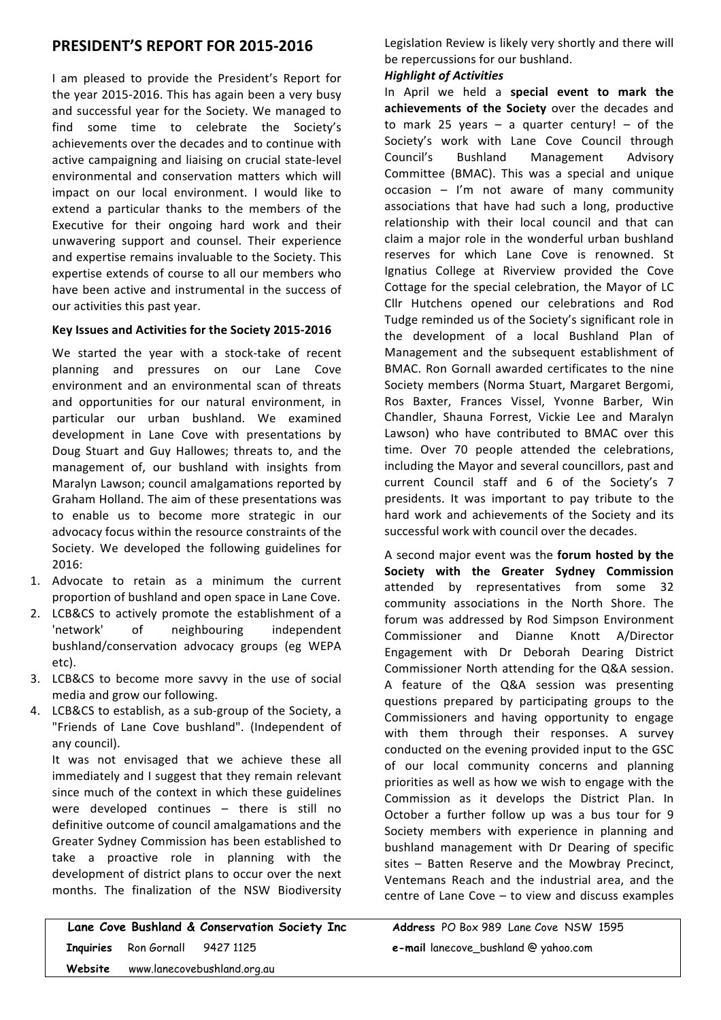## **PRESIDENT'S REPORT FOR 2015-2016**

I am pleased to provide the President's Report for the year 2015-2016. This has again been a very busy and successful year for the Society. We managed to find some time to celebrate the Society's achievements over the decades and to continue with active campaigning and liaising on crucial state-level environmental and conservation matters which will impact on our local environment. I would like to extend a particular thanks to the members of the Executive for their ongoing hard work and their unwavering support and counsel. Their experience and expertise remains invaluable to the Society. This expertise extends of course to all our members who have been active and instrumental in the success of our activities this past year.

#### **Key Issues and Activities for the Society 2015-2016**

We started the year with a stock-take of recent planning and pressures on our Lane Cove environment and an environmental scan of threats and opportunities for our natural environment, in particular our urban bushland. We examined development in Lane Cove with presentations by Doug Stuart and Guy Hallowes; threats to, and the management of, our bushland with insights from Maralyn Lawson; council amalgamations reported by Graham Holland. The aim of these presentations was to enable us to become more strategic in our advocacy focus within the resource constraints of the Society. We developed the following guidelines for 2016:

- 1. Advocate to retain as a minimum the current proportion of bushland and open space in Lane Cove.
- 2. LCB&CS to actively promote the establishment of a 'network' of neighbouring independent bushland/conservation advocacy groups (eg WEPA etc).
- 3. LCB&CS to become more savvy in the use of social media and grow our following.
- 4. LCB&CS to establish, as a sub-group of the Society, a "Friends of Lane Cove bushland". (Independent of any council).

It was not envisaged that we achieve these all immediately and I suggest that they remain relevant since much of the context in which these guidelines were developed continues  $-$  there is still no definitive outcome of council amalgamations and the Greater Sydney Commission has been established to take a proactive role in planning with the development of district plans to occur over the next months. The finalization of the NSW Biodiversity

 **Lane Cove Bushland & Conservation Society Inc Address** PO Box 989 Lane Cove NSW 1595  **Inquiries** Ron Gornall 9427 1125 **e-mail** lanecove\_bushland @ yahoo.com  **Website** www.lanecovebushland.org.au

Legislation Review is likely very shortly and there will be repercussions for our bushland.

#### *Highlight of Activities*

In April we held a special event to mark the achievements of the Society over the decades and to mark 25 years  $-$  a quarter century!  $-$  of the Society's work with Lane Cove Council through Council's Bushland Management Advisory Committee (BMAC). This was a special and unique  $occasion - l'm$  not aware of many community associations that have had such a long, productive relationship with their local council and that can claim a major role in the wonderful urban bushland reserves for which Lane Cove is renowned. St Ignatius College at Riverview provided the Cove Cottage for the special celebration, the Mayor of LC Cllr Hutchens opened our celebrations and Rod Tudge reminded us of the Society's significant role in the development of a local Bushland Plan of Management and the subsequent establishment of BMAC. Ron Gornall awarded certificates to the nine Society members (Norma Stuart, Margaret Bergomi, Ros Baxter, Frances Vissel, Yvonne Barber, Win Chandler, Shauna Forrest, Vickie Lee and Maralyn Lawson) who have contributed to BMAC over this time. Over 70 people attended the celebrations, including the Mayor and several councillors, past and current Council staff and 6 of the Society's 7 presidents. It was important to pay tribute to the hard work and achievements of the Society and its successful work with council over the decades.

A second major event was the **forum hosted by the Society with the Greater Sydney Commission** attended by representatives from some 32 community associations in the North Shore. The forum was addressed by Rod Simpson Environment Commissioner and Dianne Knott A/Director Engagement with Dr Deborah Dearing District Commissioner North attending for the Q&A session. A feature of the Q&A session was presenting questions prepared by participating groups to the Commissioners and having opportunity to engage with them through their responses. A survey conducted on the evening provided input to the GSC of our local community concerns and planning priorities as well as how we wish to engage with the Commission as it develops the District Plan. In October a further follow up was a bus tour for 9 Society members with experience in planning and bushland management with Dr Dearing of specific  $sites$  – Batten Reserve and the Mowbray Precinct, Ventemans Reach and the industrial area, and the centre of Lane Cove  $-$  to view and discuss examples